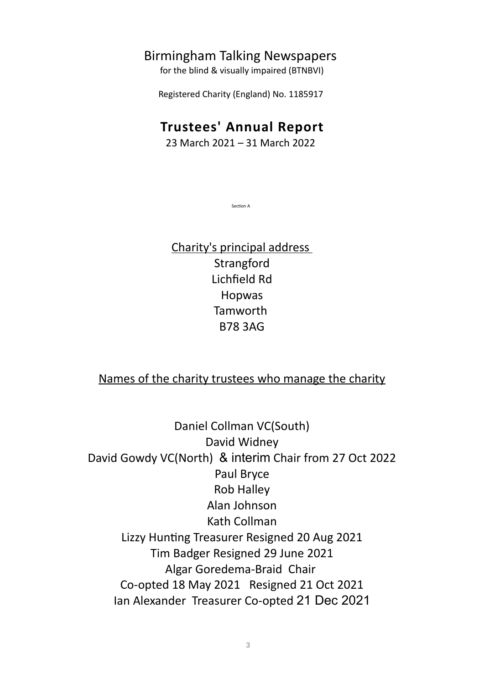## Birmingham Talking Newspapers

for the blind & visually impaired (BTNBVI)

Registered Charity (England) No. 1185917

# **Trustees' Annual Report**

23 March 2021 – 31 March 2022

Section A

Charity's principal address Strangford Lichfield Rd Hopwas Tamworth B78 3AG

### Names of the charity trustees who manage the charity

Daniel Collman VC(South) David Widney David Gowdy VC(North) & interim Chair from 27 Oct 2022 Paul Bryce Rob Halley Alan Johnson Kath Collman Lizzy Hunting Treasurer Resigned 20 Aug 2021 Tim Badger Resigned 29 June 2021 Algar Goredema-Braid Chair Co-opted 18 May 2021 Resigned 21 Oct 2021 Ian Alexander Treasurer Co-opted 21 Dec 2021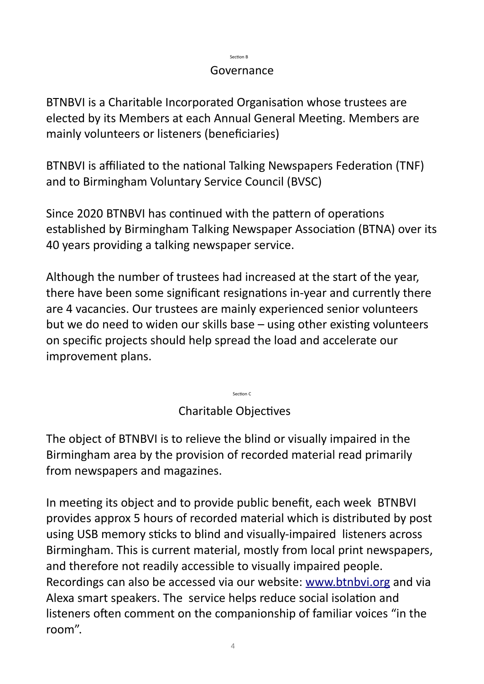#### Section B

## Governance

BTNBVI is a Charitable Incorporated Organisation whose trustees are elected by its Members at each Annual General Meeting. Members are mainly volunteers or listeners (beneficiaries)

BTNBVI is affiliated to the national Talking Newspapers Federation (TNF) and to Birmingham Voluntary Service Council (BVSC)

Since 2020 BTNBVI has continued with the pattern of operations established by Birmingham Talking Newspaper Association (BTNA) over its 40 years providing a talking newspaper service.

Although the number of trustees had increased at the start of the year, there have been some significant resignations in-year and currently there are 4 vacancies. Our trustees are mainly experienced senior volunteers but we do need to widen our skills base – using other existing volunteers on specific projects sho[uld help spre](http://www.btnbvi.org/)ad the load and accelerate our improvement plans.

Charitable Objectives

Section C

The object of BTNBVI is to relieve the blind or visually impaired in the Birmingham area by the provision of recorded material read primarily from newspapers and magazines.

In meeting its object and to provide public benefit, each week BTNBVI provides approx 5 hours of recorded material which is distributed by post using USB memory sticks to blind and visually-impaired listeners across Birmingham. This is current material, mostly from local print newspapers, and therefore not readily accessible to visually impaired people. Recordings can also be accessed via our website: www.btnbvi.org and via Alexa smart speakers. The service helps reduce social isolation and listeners often comment on the companionship of familiar voices "in the room".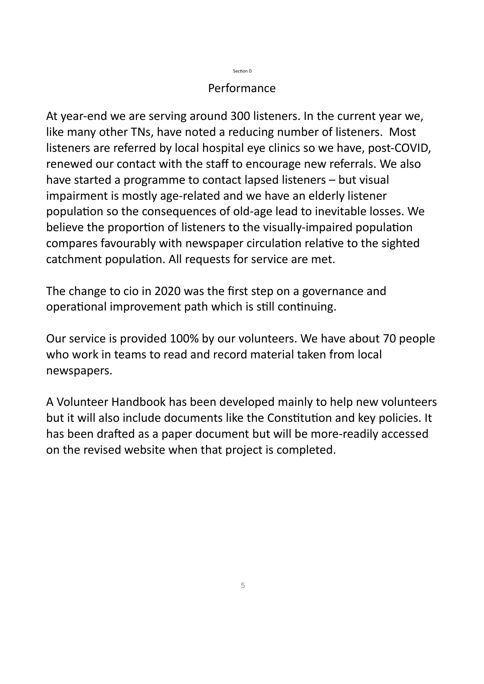#### Section D

### Performance

At year-end we are serving around 300 listeners. In the current year we, like many other TNs, have noted a reducing number of listeners. Most listeners are referred by local hospital eye clinics so we have, post-COVID, renewed our contact with the staff to encourage new referrals. We also have started a programme to contact lapsed listeners – but visual impairment is mostly age-related and we have an elderly listener population so the consequences of old-age lead to inevitable losses. We believe the proportion of listeners to the visually-impaired population compares favourably with newspaper circulation relative to the sighted catchment population. All requests for service are met.

The change to cio in 2020 was the first step on a governance and operational improvement path which is still continuing.

Our service is provided 100% by our volunteers. We have about 70 people who work in teams to read and record material taken from local newspapers.

A Volunteer Handbook has been developed mainly to help new volunteers but it will also include documents like the Constitution and key policies. It has been drafted as a paper document but will be more-readily accessed on the revised website when that project is completed.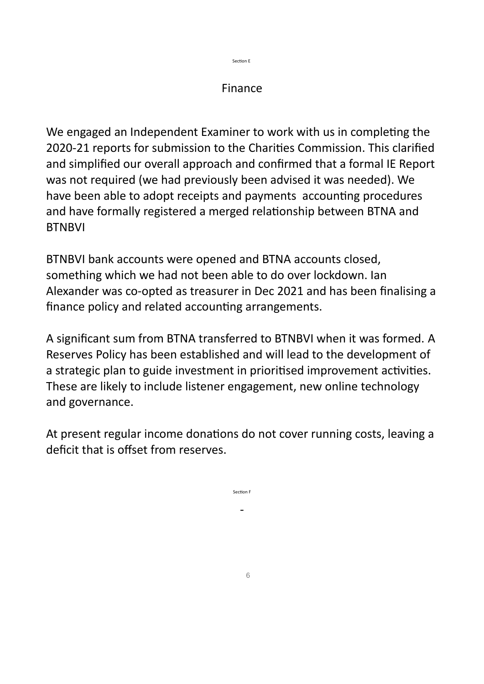Section E

## Finance

We engaged an Independent Examiner to work with us in completing the 2020-21 reports for submission to the Charities Commission. This clarified and simplified our overall approach and confirmed that a formal IE Report was not required (we had previously been advised it was needed). We have been able to adopt receipts and payments accounting procedures and have formally registered a merged relationship between BTNA and **BTNBVI** 

BTNBVI bank accounts were opened and BTNA accounts closed, something which we had not been able to do over lockdown. Ian Alexander was co-opted as treasurer in Dec 2021 and has been finalising a finance policy and related accounting arrangements.

A significant sum from BTNA transferred to BTNBVI when it was formed. A Reserves Policy has been established and will lead to the development of a strategic plan to guide investment in prioritised improvement activities. These are likely to include listener engagement, new online technology and governance.

At present regular income donations do not cover running costs, leaving a deficit that is offset from reserves.

Section F

-